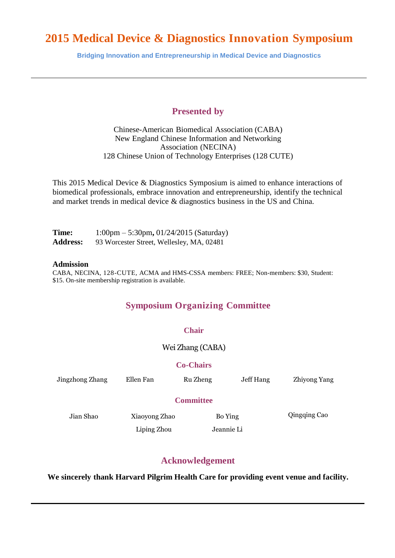**Bridging Innovation and Entrepreneurship in Medical Device and Diagnostics**

## **Presented by**

Chinese-American Biomedical Association (CABA) New England Chinese Information and Networking Association (NECINA) 128 Chinese Union of Technology Enterprises (128 CUTE)

This 2015 Medical Device & Diagnostics Symposium is aimed to enhance interactions of biomedical professionals, embrace innovation and entrepreneurship, identify the technical and market trends in medical device & diagnostics business in the US and China.

| Time:           | $1:00 \text{pm} - 5:30 \text{pm}, 01/24/2015$ (Saturday) |
|-----------------|----------------------------------------------------------|
| <b>Address:</b> | 93 Worcester Street, Wellesley, MA, 02481                |

### **Admission**

CABA, NECINA, 128-CUTE, ACMA and HMS-CSSA members: FREE; Non-members: \$30, Student: \$15. On-site membership registration is available.

## **Symposium Organizing Committee**

## **Chair**

Wei Zhang (CABA)

## **Co-Chairs**

| Jingzhong Zhang  | Ellen Fan     | Ru Zheng | Jeff Hang  | Zhiyong Yang |  |  |  |
|------------------|---------------|----------|------------|--------------|--|--|--|
| <b>Committee</b> |               |          |            |              |  |  |  |
| Jian Shao        | Xiaoyong Zhao |          | Bo Ying    |              |  |  |  |
|                  | Liping Zhou   |          | Jeannie Li |              |  |  |  |

## **Acknowledgement**

**We sincerely thank Harvard Pilgrim Health Care for providing event venue and facility.**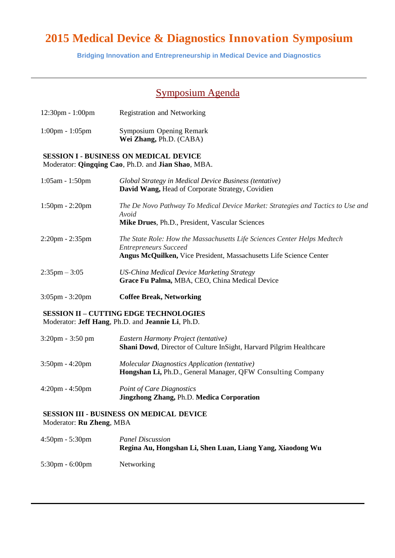**Bridging Innovation and Entrepreneurship in Medical Device and Diagnostics**

# Symposium Agenda

| 12:30pm - 1:00pm                  | Registration and Networking                                                                                                                                                    |  |  |
|-----------------------------------|--------------------------------------------------------------------------------------------------------------------------------------------------------------------------------|--|--|
| $1:00 \text{pm} - 1:05 \text{pm}$ | Symposium Opening Remark<br>Wei Zhang, Ph.D. (CABA)                                                                                                                            |  |  |
|                                   | <b>SESSION I - BUSINESS ON MEDICAL DEVICE</b><br>Moderator: Qingqing Cao, Ph.D. and Jian Shao, MBA.                                                                            |  |  |
| 1:05am - 1:50pm                   | Global Strategy in Medical Device Business (tentative)<br>David Wang, Head of Corporate Strategy, Covidien                                                                     |  |  |
| $1:50$ pm - $2:20$ pm             | The De Novo Pathway To Medical Device Market: Strategies and Tactics to Use and<br>Avoid<br>Mike Drues, Ph.D., President, Vascular Sciences                                    |  |  |
| $2:20$ pm - $2:35$ pm             | The State Role: How the Massachusetts Life Sciences Center Helps Medtech<br><b>Entrepreneurs Succeed</b><br>Angus McQuilken, Vice President, Massachusetts Life Science Center |  |  |
| $2:35 \text{pm} - 3:05$           | <b>US-China Medical Device Marketing Strategy</b><br>Grace Fu Palma, MBA, CEO, China Medical Device                                                                            |  |  |
| $3:05$ pm - $3:20$ pm             | <b>Coffee Break, Networking</b>                                                                                                                                                |  |  |
|                                   | <b>SESSION II - CUTTING EDGE TECHNOLOGIES</b><br>Moderator: Jeff Hang, Ph.D. and Jeannie Li, Ph.D.                                                                             |  |  |
| $3:20 \text{pm} - 3:50 \text{pm}$ | Eastern Harmony Project (tentative)<br>Shani Dowd, Director of Culture InSight, Harvard Pilgrim Healthcare                                                                     |  |  |
| $2.50$ $1.20$                     |                                                                                                                                                                                |  |  |

- 3:50pm 4:20pm *Molecular Diagnostics Application (tentative)* **Hongshan Li,** Ph.D., General Manager, QFW Consulting Company
- 4:20pm 4:50pm *Point of Care Diagnostics*  **Jingzhong Zhang,** Ph.D. **Medica Corporation**

## **SESSION III - BUSINESS ON MEDICAL DEVICE** Moderator: **Ru Zheng**, MBA

4:50pm - 5:30pm *Panel Discussion* **Regina Au, Hongshan Li, Shen Luan, Liang Yang, Xiaodong Wu** 5:30pm - 6:00pm Networking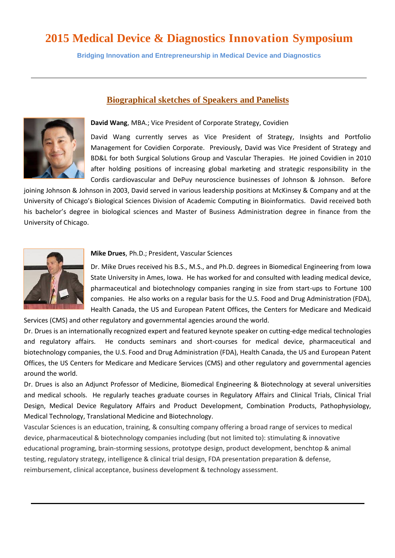**Bridging Innovation and Entrepreneurship in Medical Device and Diagnostics**

## **David Wang**, MBA.; Vice President of Corporate Strategy, Covidien

**Biographical sketches of Speakers and Panelists**

David Wang currently serves as Vice President of Strategy, Insights and Portfolio Management for Covidien Corporate. Previously, David was Vice President of Strategy and BD&L for both Surgical Solutions Group and Vascular Therapies. He joined Covidien in 2010 after holding positions of increasing global marketing and strategic responsibility in the Cordis cardiovascular and DePuy neuroscience businesses of Johnson & Johnson. Before

joining Johnson & Johnson in 2003, David served in various leadership positions at McKinsey & Company and at the University of Chicago's Biological Sciences Division of Academic Computing in Bioinformatics. David received both his bachelor's degree in biological sciences and Master of Business Administration degree in finance from the University of Chicago.



## **Mike Drues**, Ph.D.; President, Vascular Sciences

Dr. Mike Drues received his B.S., M.S., and Ph.D. degrees in Biomedical Engineering from Iowa State University in Ames, Iowa. He has worked for and consulted with leading medical device, pharmaceutical and biotechnology companies ranging in size from start-ups to Fortune 100 companies. He also works on a regular basis for the U.S. Food and Drug Administration (FDA), Health Canada, the US and European Patent Offices, the Centers for Medicare and Medicaid

Services (CMS) and other regulatory and governmental agencies around the world.

Dr. Drues is an internationally recognized expert and featured keynote speaker on cutting-edge medical technologies and regulatory affairs. He conducts seminars and short-courses for medical device, pharmaceutical and biotechnology companies, the U.S. Food and Drug Administration (FDA), Health Canada, the US and European Patent Offices, the US Centers for Medicare and Medicare Services (CMS) and other regulatory and governmental agencies around the world.

Dr. Drues is also an Adjunct Professor of Medicine, Biomedical Engineering & Biotechnology at several universities and medical schools. He regularly teaches graduate courses in Regulatory Affairs and Clinical Trials, Clinical Trial Design, Medical Device Regulatory Affairs and Product Development, Combination Products, Pathophysiology, Medical Technology, Translational Medicine and Biotechnology.

Vascular Sciences is an education, training, & consulting company offering a broad range of services to medical device, pharmaceutical & biotechnology companies including (but not limited to): stimulating & innovative educational programing, brain-storming sessions, prototype design, product development, benchtop & animal testing, regulatory strategy, intelligence & clinical trial design, FDA presentation preparation & defense, reimbursement, clinical acceptance, business development & technology assessment.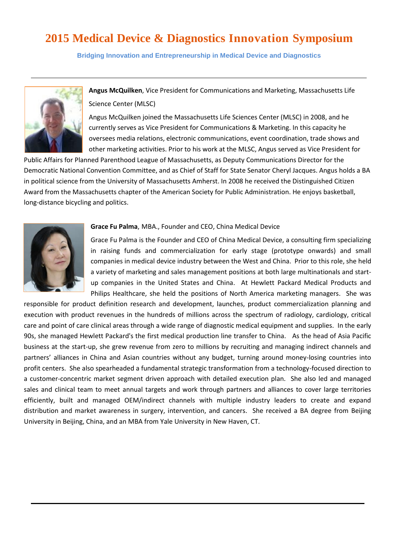**Bridging Innovation and Entrepreneurship in Medical Device and Diagnostics**



**Angus McQuilken**, Vice President for Communications and Marketing, Massachusetts Life Science Center (MLSC)

Angus McQuilken joined the Massachusetts Life Sciences Center (MLSC) in 2008, and he currently serves as Vice President for Communications & Marketing. In this capacity he oversees media relations, electronic communications, event coordination, trade shows and other marketing activities. Prior to his work at the MLSC, Angus served as Vice President for

Public Affairs for Planned Parenthood League of Massachusetts, as Deputy Communications Director for the Democratic National Convention Committee, and as Chief of Staff for State Senator Cheryl Jacques. Angus holds a BA in political science from the University of Massachusetts Amherst. In 2008 he received the Distinguished Citizen Award from the Massachusetts chapter of the American Society for Public Administration. He enjoys basketball, long-distance bicycling and politics.



### **Grace Fu Palma**, MBA., Founder and CEO, China Medical Device

Grace Fu Palma is the Founder and CEO of China Medical Device, a consulting firm specializing in raising funds and commercialization for early stage (prototype onwards) and small companies in medical device industry between the West and China. Prior to this role, she held a variety of marketing and sales management positions at both large multinationals and startup companies in the United States and China. At Hewlett Packard Medical Products and Philips Healthcare, she held the positions of North America marketing managers. She was

responsible for product definition research and development, launches, product commercialization planning and execution with product revenues in the hundreds of millions across the spectrum of radiology, cardiology, critical care and point of care clinical areas through a wide range of diagnostic medical equipment and supplies. In the early 90s, she managed Hewlett Packard's the first medical production line transfer to China. As the head of Asia Pacific business at the start-up, she grew revenue from zero to millions by recruiting and managing indirect channels and partners' alliances in China and Asian countries without any budget, turning around money-losing countries into profit centers. She also spearheaded a fundamental strategic transformation from a technology-focused direction to a customer-concentric market segment driven approach with detailed execution plan. She also led and managed sales and clinical team to meet annual targets and work through partners and alliances to cover large territories efficiently, built and managed OEM/indirect channels with multiple industry leaders to create and expand distribution and market awareness in surgery, intervention, and cancers. She received a BA degree from Beijing University in Beijing, China, and an MBA from Yale University in New Haven, CT.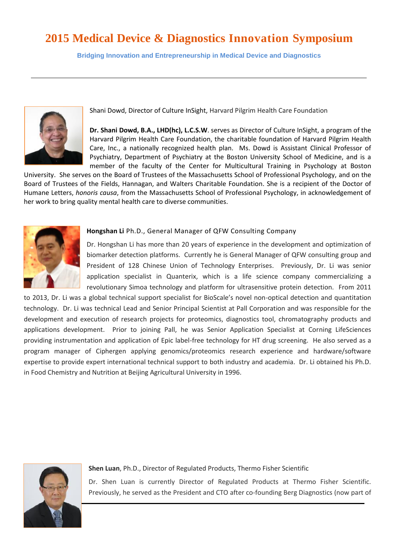**Bridging Innovation and Entrepreneurship in Medical Device and Diagnostics**



Shani Dowd, Director of Culture InSight, Harvard Pilgrim Health Care Foundation

**Dr. Shani Dowd, B.A., LHD(hc), L.C.S.W**. serves as Director of Culture InSight, a program of the Harvard Pilgrim Health Care Foundation, the charitable foundation of Harvard Pilgrim Health Care, Inc., a nationally recognized health plan. Ms. Dowd is Assistant Clinical Professor of Psychiatry, Department of Psychiatry at the Boston University School of Medicine, and is a member of the faculty of the Center for Multicultural Training in Psychology at Boston

University. She serves on the Board of Trustees of the Massachusetts School of Professional Psychology, and on the Board of Trustees of the Fields, Hannagan, and Walters Charitable Foundation. She is a recipient of the Doctor of Humane Letters, *honoris causa*, from the Massachusetts School of Professional Psychology, in acknowledgement of her work to bring quality mental health care to diverse communities.



## **Hongshan Li** Ph.D., General Manager of QFW Consulting Company

Dr. Hongshan Li has more than 20 years of experience in the development and optimization of biomarker detection platforms. Currently he is General Manager of QFW consulting group and President of 128 Chinese Union of Technology Enterprises. Previously, Dr. Li was senior application specialist in Quanterix, which is a life science company commercializing a revolutionary Simoa technology and platform for ultrasensitive protein detection. From 2011

to 2013, Dr. Li was a global technical support specialist for BioScale's novel non-optical detection and quantitation technology. Dr. Li was technical Lead and Senior Principal Scientist at Pall Corporation and was responsible for the development and execution of research projects for proteomics, diagnostics tool, chromatography products and applications development. Prior to joining Pall, he was Senior Application Specialist at Corning LifeSciences providing instrumentation and application of Epic label-free technology for HT drug screening. He also served as a program manager of Ciphergen applying genomics/proteomics research experience and hardware/software expertise to provide expert international technical support to both industry and academia. Dr. Li obtained his Ph.D. in Food Chemistry and Nutrition at Beijing Agricultural University in 1996.



**Shen Luan**, Ph.D., Director of Regulated Products, Thermo Fisher Scientific

Dr. Shen Luan is currently Director of Regulated Products at Thermo Fisher Scientific. Previously, he served as the President and CTO after co-founding Berg Diagnostics (now part of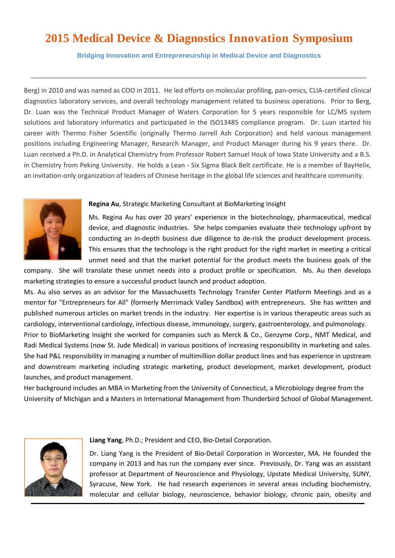**Bridging Innovation and Entrepreneurship in Medical Device and Diagnostics**

Berg) in 2010 and was named as COO in 2011. He led efforts on molecular profiling, pan-omics, CLIA-certified clinical diagnostics laboratory services, and overall technology management related to business operations. Prior to Berg, Dr. Luan was the Technical Product Manager of Waters Corporation for 5 years responsible for LC/MS system solutions and laboratory informatics and participated in the ISO13485 compliance program. Dr. Luan started his career with Thermo Fisher Scientific (originally Thermo Jarrell Ash Corporation) and held various management positions including Engineering Manager, Research Manager, and Product Manager during his 9 years there. Dr. Luan received a Ph.D. in Analytical Chemistry from Professor Robert Samuel Houk of Iowa State University and a B.S. in Chemistry from Peking University. He holds a Lean - Six Sigma Black Belt certificate. He is a member of BayHelix, an invitation-only organization of leaders of Chinese heritage in the global life sciences and healthcare community.



### **Regina Au**, Strategic Marketing Consultant at BioMarketing Insight

Ms. Regina Au has over 20 years' experience in the biotechnology, pharmaceutical, medical device, and diagnostic industries. She helps companies evaluate their technology upfront by conducting an in-depth business due diligence to de-risk the product development process. This ensures that the technology is the right product for the right market in meeting a critical unmet need and that the market potential for the product meets the business goals of the

company. She will translate these unmet needs into a product profile or specification. Ms. Au then develops marketing strategies to ensure a successful product launch and product adoption.

Ms. Au also serves as an advisor for the Massachusetts Technology Transfer Center Platform Meetings and as a mentor for "Entrepreneurs for All" (formerly Merrimack Valley Sandbox) with entrepreneurs. She has written and published numerous articles on market trends in the industry. Her expertise is in various therapeutic areas such as cardiology, interventional cardiology, infectious disease, immunology, surgery, gastroenterology, and pulmonology. Prior to BioMarketing Insight she worked for companies such as Merck & Co., Genzyme Corp., NMT Medical, and Radi Medical Systems (now St. Jude Medical) in various positions of increasing responsibility in marketing and sales. She had P&L responsibility in managing a number of multimillion dollar product lines and has experience in upstream and downstream marketing including strategic marketing, product development, market development, product launches, and product management.

Her background includes an MBA in Marketing from the University of Connecticut, a Microbiology degree from the University of Michigan and a Masters in International Management from Thunderbird School of Global Management.



**Liang Yang**, Ph.D.; President and CEO, Bio-Detail Corporation.

Dr. Liang Yang is the President of Bio-Detail Corporation in Worcester, MA. He founded the company in 2013 and has run the company ever since. Previously, Dr. Yang was an assistant professor at Department of Neuroscience and Physiology, Upstate Medical University, SUNY, Syracuse, New York. He had research experiences in several areas including biochemistry, molecular and cellular biology, neuroscience, behavior biology, chronic pain, obesity and